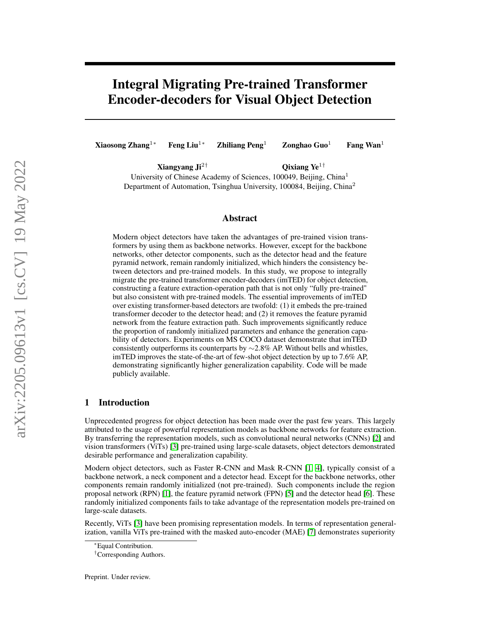# Integral Migrating Pre-trained Transformer Encoder-decoders for Visual Object Detection

Xiaosong Zhang<sup>1∗</sup> Feng Liu<sup>1</sup>\* Zhiliang Peng<sup>1</sup> Zonghao Guo<sup>1</sup> Fang Wan<sup>1</sup>

Xiangyang Ji<sup>2†</sup>  $Qixi$ ang Ye<sup>1†</sup> University of Chinese Academy of Sciences, 100049, Beijing, China<sup>1</sup> Department of Automation, Tsinghua University, 100084, Beijing, China<sup>2</sup>

## Abstract

Modern object detectors have taken the advantages of pre-trained vision transformers by using them as backbone networks. However, except for the backbone networks, other detector components, such as the detector head and the feature pyramid network, remain randomly initialized, which hinders the consistency between detectors and pre-trained models. In this study, we propose to integrally migrate the pre-trained transformer encoder-decoders (imTED) for object detection, constructing a feature extraction-operation path that is not only "fully pre-trained" but also consistent with pre-trained models. The essential improvements of imTED over existing transformer-based detectors are twofold: (1) it embeds the pre-trained transformer decoder to the detector head; and (2) it removes the feature pyramid network from the feature extraction path. Such improvements significantly reduce the proportion of randomly initialized parameters and enhance the generation capability of detectors. Experiments on MS COCO dataset demonstrate that imTED consistently outperforms its counterparts by ∼2.8% AP. Without bells and whistles, imTED improves the state-of-the-art of few-shot object detection by up to 7.6% AP, demonstrating significantly higher generalization capability. Code will be made publicly available.

## 1 Introduction

Unprecedented progress for object detection has been made over the past few years. This largely attributed to the usage of powerful representation models as backbone networks for feature extraction. By transferring the representation models, such as convolutional neural networks (CNNs) [\[2\]](#page-8-0) and vision transformers (ViTs) [\[3\]](#page-8-1) pre-trained using large-scale datasets, object detectors demonstrated desirable performance and generalization capability.

Modern object detectors, such as Faster R-CNN and Mask R-CNN [\[1,](#page-8-2) [4\]](#page-8-3), typically consist of a backbone network, a neck component and a detector head. Except for the backbone networks, other components remain randomly initialized (not pre-trained). Such components include the region proposal network (RPN) [\[1\]](#page-8-2), the feature pyramid network (FPN) [\[5\]](#page-8-4) and the detector head [\[6\]](#page-8-5). These randomly initialized components fails to take advantage of the representation models pre-trained on large-scale datasets.

Recently, ViTs [\[3\]](#page-8-1) have been promising representation models. In terms of representation generalization, vanilla ViTs pre-trained with the masked auto-encoder (MAE) [\[7\]](#page-8-6) demonstrates superiority

<sup>∗</sup>Equal Contribution.

<sup>†</sup>Corresponding Authors.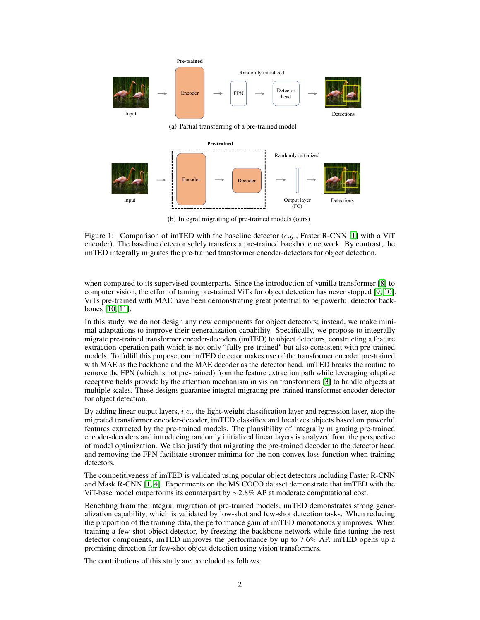

(b) Integral migrating of pre-trained models (ours)

Figure 1: Comparison of imTED with the baseline detector  $(e.g.,$  Faster R-CNN [\[1\]](#page-8-2) with a ViT encoder). The baseline detector solely transfers a pre-trained backbone network. By contrast, the imTED integrally migrates the pre-trained transformer encoder-detectors for object detection.

when compared to its supervised counterparts. Since the introduction of vanilla transformer [\[8\]](#page-9-0) to computer vision, the effort of taming pre-trained ViTs for object detection has never stopped [\[9,](#page-9-1) [10\]](#page-9-2). ViTs pre-trained with MAE have been demonstrating great potential to be powerful detector backbones [\[10,](#page-9-2) [11\]](#page-9-3).

In this study, we do not design any new components for object detectors; instead, we make minimal adaptations to improve their generalization capability. Specifically, we propose to integrally migrate pre-trained transformer encoder-decoders (imTED) to object detectors, constructing a feature extraction-operation path which is not only "fully pre-trained" but also consistent with pre-trained models. To fulfill this purpose, our imTED detector makes use of the transformer encoder pre-trained with MAE as the backbone and the MAE decoder as the detector head. imTED breaks the routine to remove the FPN (which is not pre-trained) from the feature extraction path while leveraging adaptive receptive fields provide by the attention mechanism in vision transformers [\[3\]](#page-8-1) to handle objects at multiple scales. These designs guarantee integral migrating pre-trained transformer encoder-detector for object detection.

By adding linear output layers, *i.e.*, the light-weight classification layer and regression layer, atop the migrated transformer encoder-decoder, imTED classifies and localizes objects based on powerful features extracted by the pre-trained models. The plausibility of integrally migrating pre-trained encoder-decoders and introducing randomly initialized linear layers is analyzed from the perspective of model optimization. We also justify that migrating the pre-trained decoder to the detector head and removing the FPN facilitate stronger minima for the non-convex loss function when training detectors.

The competitiveness of imTED is validated using popular object detectors including Faster R-CNN and Mask R-CNN [\[1,](#page-8-2) [4\]](#page-8-3). Experiments on the MS COCO dataset demonstrate that imTED with the ViT-base model outperforms its counterpart by  $\sim$ 2.8% AP at moderate computational cost.

Benefiting from the integral migration of pre-trained models, imTED demonstrates strong generalization capability, which is validated by low-shot and few-shot detection tasks. When reducing the proportion of the training data, the performance gain of imTED monotonously improves. When training a few-shot object detector, by freezing the backbone network while fine-tuning the rest detector components, imTED improves the performance by up to 7.6% AP. imTED opens up a promising direction for few-shot object detection using vision transformers.

The contributions of this study are concluded as follows: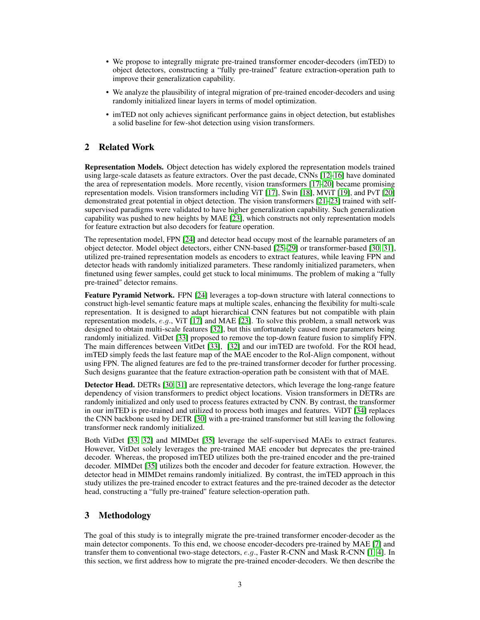- We propose to integrally migrate pre-trained transformer encoder-decoders (imTED) to object detectors, constructing a "fully pre-trained" feature extraction-operation path to improve their generalization capability.
- We analyze the plausibility of integral migration of pre-trained encoder-decoders and using randomly initialized linear layers in terms of model optimization.
- imTED not only achieves significant performance gains in object detection, but establishes a solid baseline for few-shot detection using vision transformers.

# 2 Related Work

Representation Models. Object detection has widely explored the representation models trained using large-scale datasets as feature extractors. Over the past decade, CNNs [\[12](#page-9-4)[–16\]](#page-9-5) have dominated the area of representation models. More recently, vision transformers [\[17–](#page-9-6)[20\]](#page-9-7) became promising representation models. Vision transformers including ViT [\[17\]](#page-9-6), Swin [\[18\]](#page-9-8), MViT [\[19\]](#page-9-9), and PvT [\[20\]](#page-9-7) demonstrated great potential in object detection. The vision transformers [\[21](#page-9-10)[–23\]](#page-9-11) trained with selfsupervised paradigms were validated to have higher generalization capability. Such generalization capability was pushed to new heights by MAE [\[23\]](#page-9-11), which constructs not only representation models for feature extraction but also decoders for feature operation.

The representation model, FPN [\[24\]](#page-9-12) and detector head occupy most of the learnable parameters of an object detector. Model object detectors, either CNN-based [\[25](#page-9-13)[–29\]](#page-9-14) or transformer-based [\[30,](#page-10-0) [31\]](#page-10-1), utilized pre-trained representation models as encoders to extract features, while leaving FPN and detector heads with randomly initialized parameters. These randomly initialized parameters, when finetuned using fewer samples, could get stuck to local minimums. The problem of making a "fully pre-trained" detector remains.

Feature Pyramid Network. FPN [\[24\]](#page-9-12) leverages a top-down structure with lateral connections to construct high-level semantic feature maps at multiple scales, enhancing the flexibility for multi-scale representation. It is designed to adapt hierarchical CNN features but not compatible with plain representation models,  $e.g.,$  ViT [\[17\]](#page-9-6) and MAE [\[23\]](#page-9-11). To solve this problem, a small network was designed to obtain multi-scale features [\[32\]](#page-10-2), but this unfortunately caused more parameters being randomly initialized. VitDet [\[33\]](#page-10-3) proposed to remove the top-down feature fusion to simplify FPN. The main differences between VitDet [\[33\]](#page-10-3), [\[32\]](#page-10-2) and our imTED are twofold. For the ROI head, imTED simply feeds the last feature map of the MAE encoder to the RoI-Align component, without using FPN. The aligned features are fed to the pre-trained transformer decoder for further processing. Such designs guarantee that the feature extraction-operation path be consistent with that of MAE.

**Detector Head.** DETRs [\[30,](#page-10-0) [31\]](#page-10-1) are representative detectors, which leverage the long-range feature dependency of vision transformers to predict object locations. Vision transformers in DETRs are randomly initialized and only used to process features extracted by CNN. By contrast, the transformer in our imTED is pre-trained and utilized to process both images and features. ViDT [\[34\]](#page-10-4) replaces the CNN backbone used by DETR [\[30\]](#page-10-0) with a pre-trained transformer but still leaving the following transformer neck randomly initialized.

Both VitDet [\[33,](#page-10-3) [32\]](#page-10-2) and MIMDet [\[35\]](#page-10-5) leverage the self-supervised MAEs to extract features. However, VitDet solely leverages the pre-trained MAE encoder but deprecates the pre-trained decoder. Whereas, the proposed imTED utilizes both the pre-trained encoder and the pre-trained decoder. MIMDet [\[35\]](#page-10-5) utilizes both the encoder and decoder for feature extraction. However, the detector head in MIMDet remains randomly initialized. By contrast, the imTED approach in this study utilizes the pre-trained encoder to extract features and the pre-trained decoder as the detector head, constructing a "fully pre-trained" feature selection-operation path.

## 3 Methodology

The goal of this study is to integrally migrate the pre-trained transformer encoder-decoder as the main detector components. To this end, we choose encoder-decoders pre-trained by MAE [\[7\]](#page-8-6) and transfer them to conventional two-stage detectors,  $e.g.,$  Faster R-CNN and Mask R-CNN [\[1,](#page-8-2) [4\]](#page-8-3). In this section, we first address how to migrate the pre-trained encoder-decoders. We then describe the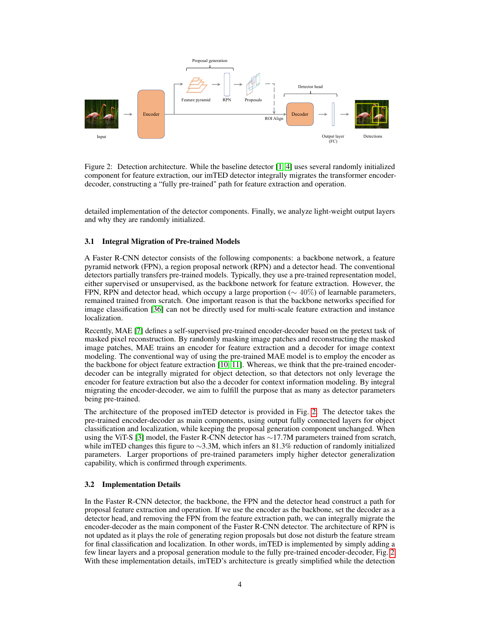

<span id="page-3-0"></span>Figure 2: Detection architecture. While the baseline detector [\[1,](#page-8-2) [4\]](#page-8-3) uses several randomly initialized component for feature extraction, our imTED detector integrally migrates the transformer encoderdecoder, constructing a "fully pre-trained" path for feature extraction and operation.

detailed implementation of the detector components. Finally, we analyze light-weight output layers and why they are randomly initialized.

## 3.1 Integral Migration of Pre-trained Models

A Faster R-CNN detector consists of the following components: a backbone network, a feature pyramid network (FPN), a region proposal network (RPN) and a detector head. The conventional detectors partially transfers pre-trained models. Typically, they use a pre-trained representation model, either supervised or unsupervised, as the backbone network for feature extraction. However, the FPN, RPN and detector head, which occupy a large proportion ( $\sim 40\%$ ) of learnable parameters, remained trained from scratch. One important reason is that the backbone networks specified for image classification [\[36\]](#page-10-6) can not be directly used for multi-scale feature extraction and instance localization.

Recently, MAE [\[7\]](#page-8-6) defines a self-supervised pre-trained encoder-decoder based on the pretext task of masked pixel reconstruction. By randomly masking image patches and reconstructing the masked image patches, MAE trains an encoder for feature extraction and a decoder for image context modeling. The conventional way of using the pre-trained MAE model is to employ the encoder as the backbone for object feature extraction [\[10,](#page-9-2) [11\]](#page-9-3). Whereas, we think that the pre-trained encoderdecoder can be integrally migrated for object detection, so that detectors not only leverage the encoder for feature extraction but also the a decoder for context information modeling. By integral migrating the encoder-decoder, we aim to fulfill the purpose that as many as detector parameters being pre-trained.

The architecture of the proposed imTED detector is provided in Fig. [2.](#page-3-0) The detector takes the pre-trained encoder-decoder as main components, using output fully connected layers for object classification and localization, while keeping the proposal generation component unchanged. When using the ViT-S [\[3\]](#page-8-1) model, the Faster R-CNN detector has ∼17.7M parameters trained from scratch, while imTED changes this figure to ∼3.3M, which infers an 81.3% reduction of randomly initialized parameters. Larger proportions of pre-trained parameters imply higher detector generalization capability, which is confirmed through experiments.

# 3.2 Implementation Details

In the Faster R-CNN detector, the backbone, the FPN and the detector head construct a path for proposal feature extraction and operation. If we use the encoder as the backbone, set the decoder as a detector head, and removing the FPN from the feature extraction path, we can integrally migrate the encoder-decoder as the main component of the Faster R-CNN detector. The architecture of RPN is not updated as it plays the role of generating region proposals but dose not disturb the feature stream for final classification and localization. In other words, imTED is implemented by simply adding a few linear layers and a proposal generation module to the fully pre-trained encoder-decoder, Fig. [2.](#page-3-0) With these implementation details, imTED's architecture is greatly simplified while the detection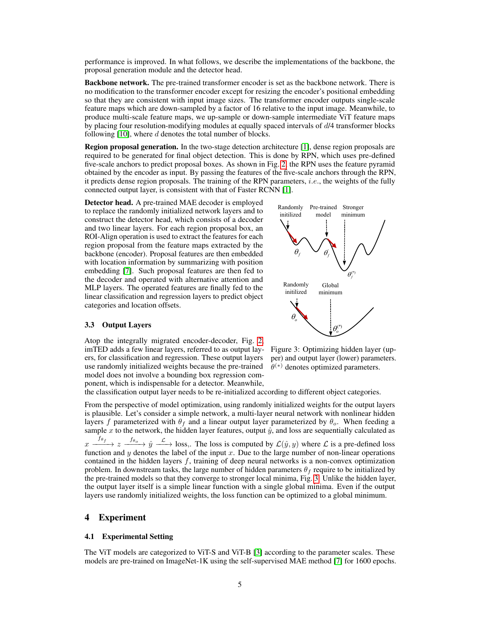performance is improved. In what follows, we describe the implementations of the backbone, the proposal generation module and the detector head.

Backbone network. The pre-trained transformer encoder is set as the backbone network. There is no modification to the transformer encoder except for resizing the encoder's positional embedding so that they are consistent with input image sizes. The transformer encoder outputs single-scale feature maps which are down-sampled by a factor of 16 relative to the input image. Meanwhile, to produce multi-scale feature maps, we up-sample or down-sample intermediate ViT feature maps by placing four resolution-modifying modules at equally spaced intervals of d/4 transformer blocks following  $[10]$ , where d denotes the total number of blocks.

Region proposal generation. In the two-stage detection architecture [\[1\]](#page-8-2), dense region proposals are required to be generated for final object detection. This is done by RPN, which uses pre-defined five-scale anchors to predict proposal boxes. As shown in Fig. [2,](#page-3-0) the RPN uses the feature pyramid obtained by the encoder as input. By passing the features of the five-scale anchors through the RPN, it predicts dense region proposals. The training of the RPN parameters, i.e., the weights of the fully connected output layer, is consistent with that of Faster RCNN [\[1\]](#page-8-2).

Detector head. A pre-trained MAE decoder is employed to replace the randomly initialized network layers and to construct the detector head, which consists of a decoder and two linear layers. For each region proposal box, an ROI-Align operation is used to extract the features for each region proposal from the feature maps extracted by the backbone (encoder). Proposal features are then embedded with location information by summarizing with position embedding [\[7\]](#page-8-6). Such proposal features are then fed to the decoder and operated with alternative attention and MLP layers. The operated features are finally fed to the linear classification and regression layers to predict object categories and location offsets.

#### <span id="page-4-1"></span>3.3 Output Layers

Atop the integrally migrated encoder-decoder, Fig. [2,](#page-3-0) imTED adds a few linear layers, referred to as output layers, for classification and regression. These output layers use randomly initialized weights because the pre-trained model does not involve a bounding box regression component, which is indispensable for a detector. Meanwhile,



<span id="page-4-0"></span>Figure 3: Optimizing hidden layer (upper) and output layer (lower) parameters.  $\theta^{(*)}$  denotes optimized parameters.

the classification output layer needs to be re-initialized according to different object categories.

From the perspective of model optimization, using randomly initialized weights for the output layers is plausible. Let's consider a simple network, a multi-layer neural network with nonlinear hidden layers f parameterized with  $\theta_f$  and a linear output layer parameterized by  $\theta_o$ . When feeding a sample x to the network, the hidden layer features, output  $\hat{y}$ , and loss are sequentially calculated as  $x \xrightarrow{f_{\theta_f}} z \xrightarrow{f_{\theta_o}} \hat{y} \xrightarrow{\mathcal{L}}$  loss,. The loss is computed by  $\mathcal{L}(\hat{y}, y)$  where  $\mathcal L$  is a pre-defined loss function and y denotes the label of the input x. Due to the large number of non-linear operations contained in the hidden layers  $f$ , training of deep neural networks is a non-convex optimization problem. In downstream tasks, the large number of hidden parameters  $\theta_f$  require to be initialized by the pre-trained models so that they converge to stronger local minima, Fig. [3.](#page-4-0) Unlike the hidden layer, the output layer itself is a simple linear function with a single global minima. Even if the output layers use randomly initialized weights, the loss function can be optimized to a global minimum.

## 4 Experiment

#### 4.1 Experimental Setting

The ViT models are categorized to ViT-S and ViT-B [\[3\]](#page-8-1) according to the parameter scales. These models are pre-trained on ImageNet-1K using the self-supervised MAE method [\[7\]](#page-8-6) for 1600 epochs.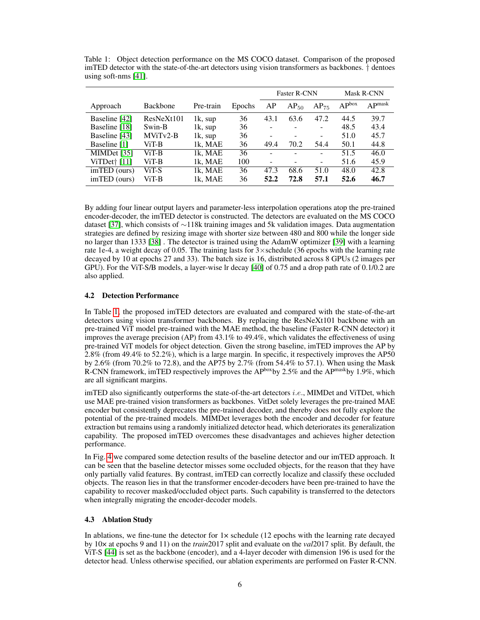|                |                        |            |        | <b>Faster R-CNN</b> |           |           | <b>Mask R-CNN</b> |                    |  |
|----------------|------------------------|------------|--------|---------------------|-----------|-----------|-------------------|--------------------|--|
| Approach       | <b>Backbone</b>        | Pre-train  | Epochs | AP                  | $AP_{50}$ | $AP_{75}$ | AP <sub>box</sub> | AP <sup>mask</sup> |  |
| Baseline [42]  | ResNeXt <sub>101</sub> | $1k$ , sup | 36     | 43.1                | 63.6      | 47.2      | 44.5              | 39.7               |  |
| Baseline [18]  | Swin-B                 | 1k, sup    | 36     |                     |           |           | 48.5              | 43.4               |  |
| Baseline [43]  | $MViTv2-B$             | 1k, sup    | 36     |                     |           | -         | 51.0              | 45.7               |  |
| Baseline [1]   | ViT-B                  | 1k, MAE    | 36     | 49.4                | 70.2      | 54.4      | 50.1              | 44.8               |  |
| MIMDet $[35]$  | ViT-B                  | 1k. MAE    | 36     |                     |           | -         | 51.5              | 46.0               |  |
| ViTDet† [11]   | ViT-B                  | 1k, MAE    | 100    |                     |           | -         | 51.6              | 45.9               |  |
| $imTED$ (ours) | ViT-S                  | 1k, MAE    | 36     | 47.3                | 68.6      | 51.0      | 48.0              | 42.8               |  |
| imTED (ours)   | ViT-B                  | 1k. MAE    | 36     | 52.2                | 72.8      | 57.1      | 52.6              | 46.7               |  |

<span id="page-5-0"></span>Table 1: Object detection performance on the MS COCO dataset. Comparison of the proposed imTED detector with the state-of-the-art detectors using vision transformers as backbones. † dentoes using soft-nms [\[41\]](#page-10-7).

By adding four linear output layers and parameter-less interpolation operations atop the pre-trained encoder-decoder, the imTED detector is constructed. The detectors are evaluated on the MS COCO dataset [\[37\]](#page-10-10), which consists of ∼118k training images and 5k validation images. Data augmentation strategies are defined by resizing image with shorter size between 480 and 800 while the longer side no larger than 1333 [\[38\]](#page-10-11) . The detector is trained using the AdamW optimizer [\[39\]](#page-10-12) with a learning rate 1e-4, a weight decay of 0.05. The training lasts for  $3 \times$  schedule (36 epochs with the learning rate decayed by 10 at epochs 27 and 33). The batch size is 16, distributed across 8 GPUs (2 images per GPU). For the ViT-S/B models, a layer-wise lr decay [\[40\]](#page-10-13) of 0.75 and a drop path rate of 0.1/0.2 are also applied.

## 4.2 Detection Performance

In Table [1,](#page-5-0) the proposed imTED detectors are evaluated and compared with the state-of-the-art detectors using vision transformer backbones. By replacing the ResNeXt101 backbone with an pre-trained ViT model pre-trained with the MAE method, the baseline (Faster R-CNN detector) it improves the average precision (AP) from  $43.1\%$  to  $49.4\%$ , which validates the effectiveness of using pre-trained ViT models for object detection. Given the strong baseline, imTED improves the AP by 2.8% (from 49.4% to 52.2%), which is a large margin. In specific, it respectively improves the AP50 by 2.6% (from 70.2% to 72.8), and the AP75 by 2.7% (from 54.4% to 57.1). When using the Mask R-CNN framework, imTED respectively improves the APboxby 2.5% and the APmaskby 1.9%, which are all significant margins.

imTED also significantly outperforms the state-of-the-art detectors *i.e.*, MIMDet and ViTDet, which use MAE pre-trained vision transformers as backbones. VitDet solely leverages the pre-trained MAE encoder but consistently deprecates the pre-trained decoder, and thereby does not fully explore the potential of the pre-trained models. MIMDet leverages both the encoder and decoder for feature extraction but remains using a randomly initialized detector head, which deteriorates its generalization capability. The proposed imTED overcomes these disadvantages and achieves higher detection performance.

In Fig. [4](#page-6-0) we compared some detection results of the baseline detector and our imTED approach. It can be seen that the baseline detector misses some occluded objects, for the reason that they have only partially valid features. By contrast, imTED can correctly localize and classify these occluded objects. The reason lies in that the transformer encoder-decoders have been pre-trained to have the capability to recover masked/occluded object parts. Such capability is transferred to the detectors when integrally migrating the encoder-decoder models.

## 4.3 Ablation Study

In ablations, we fine-tune the detector for  $1 \times$  schedule (12 epochs with the learning rate decayed by 10× at epochs 9 and 11) on the *train*2017 split and evaluate on the *val*2017 split. By default, the ViT-S [\[44\]](#page-10-14) is set as the backbone (encoder), and a 4-layer decoder with dimension 196 is used for the detector head. Unless otherwise specified, our ablation experiments are performed on Faster R-CNN.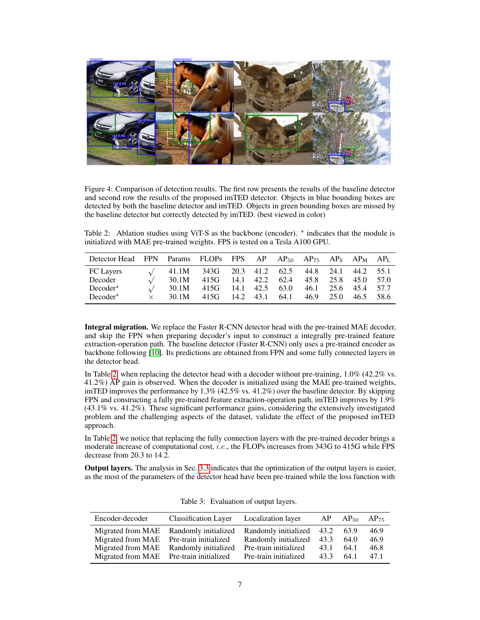

Figure 4: Comparison of detection results. The first row presents the results of the baseline detector and second row the results of the proposed imTED detector. Objects in blue bounding boxes are detected by both the baseline detector and imTED. Objects in green bounding boxes are missed by the baseline detector but correctly detected by imTED. (best viewed in color)

<span id="page-6-1"></span><span id="page-6-0"></span>Table 2: Ablation studies using ViT-S as the backbone (encoder).  $\star$  indicates that the module is initialized with MAE pre-trained weights. FPS is tested on a Tesla A100 GPU.

| Detector Head FPN | Params FLOPs FPS AP $AP_{50}$ $AP_{75}$ $AP_{8}$ $AP_{M}$ $AP_{L}$ |      |      |           |      |      |      |      |      |
|-------------------|--------------------------------------------------------------------|------|------|-----------|------|------|------|------|------|
| <b>FC</b> Layers  | 41.1M                                                              | 343G |      | 20.3 41.2 | 62.5 | 44.8 | 24.1 | 44.2 | 55.1 |
| Decoder           | 30.1M                                                              | 415G | 14.1 | 42.2      | 62.4 | 45.8 | 25.8 | 45.0 | 57.0 |
| $Decoder^*$       | 30.1M                                                              | 415G | 14.1 | 42.5      | 63.0 | 46.1 | 25.6 | 45.4 | 57.7 |
| $Decoder^*$       | 30.1M                                                              | 415G | 14.2 | 43.1      | 64.1 | 46.9 | 25.0 | 46.5 | 58.6 |

Integral migration. We replace the Faster R-CNN detector head with the pre-trained MAE decoder, and skip the FPN when preparing decoder's input to construct a integrally pre-trained feature extraction-operation path. The baseline detector (Faster R-CNN) only uses a pre-trained encoder as backbone following [\[10\]](#page-9-2). Its predictions are obtained from FPN and some fully connected layers in the detector head.

In Table [2,](#page-6-1) when replacing the detector head with a decoder without pre-training,  $1.0\%$  (42.2% vs. 41.2%) AP gain is observed. When the decoder is initialized using the MAE pre-trained weights, imTED improves the performance by 1.3% (42.5% vs. 41.2%) over the baseline detector. By skipping FPN and constructing a fully pre-trained feature extraction-operation path, imTED improves by 1.9% (43.1% vs. 41.2%). These significant performance gains, considering the extensively investigated problem and the challenging aspects of the dataset, validate the effect of the proposed imTED approach.

In Table [2,](#page-6-1) we notice that replacing the fully connection layers with the pre-trained decoder brings a moderate increase of computational cost, *i.e.*, the FLOPs increases from 343G to 415G while FPS decrease from 20.3 to 14.2.

Output layers. The analysis in Sec. [3.3](#page-4-1) indicates that the optimization of the output layers is easier, as the most of the parameters of the detector head have been pre-trained while the loss function with

<span id="page-6-2"></span>

| Encoder-decoder                         | <b>Classification Layer</b>                                      | Localization layer        |      | $AP$ $AP_{50}$ $AP_{75}$ |      |
|-----------------------------------------|------------------------------------------------------------------|---------------------------|------|--------------------------|------|
|                                         | Migrated from MAE Randomly initialized Randomly initialized 43.2 |                           |      | 63.9                     | 46.9 |
| Migrated from MAE                       | Pre-train initialized                                            | Randomly initialized 43.3 |      | 64.0                     | 46.9 |
| Migrated from MAE                       | Randomly initialized                                             | Pre-train initialized     | 43.1 | 64.1                     | 46.8 |
| Migrated from MAE Pre-train initialized |                                                                  | Pre-train initialized     | 43.3 | 64.1                     | 47.1 |

Table 3: Evaluation of output layers.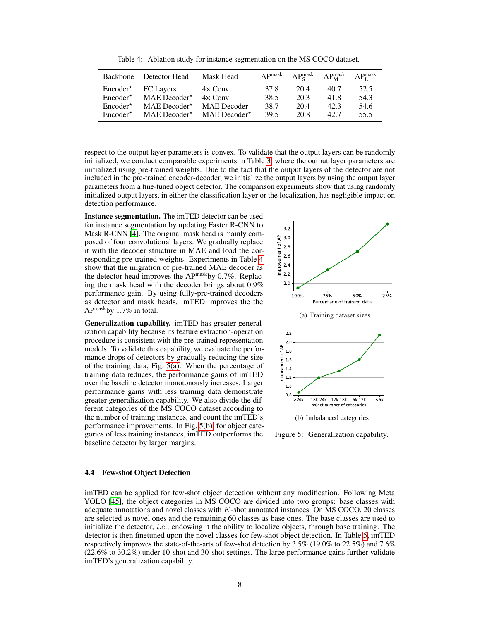Table 4: Ablation study for instance segmentation on the MS COCO dataset.

<span id="page-7-0"></span>

| Backbone          | Detector Head              | Mask Head                  | AP <sup>mask</sup> |      | $AP_{\rm s}^{\rm mask}$ $AP_{\rm M}^{\rm mask}$ $AP_{\rm I}^{\rm mask}$ |      |
|-------------------|----------------------------|----------------------------|--------------------|------|-------------------------------------------------------------------------|------|
| $Encoder^*$       | FC Layers                  | $4 \times$ Conv            | 37.8               | 20.4 | 40.7                                                                    | 52.5 |
| $Encoder^{\star}$ | $MAE$ Decoder <sup>*</sup> | $4 \times$ Conv            | 38.5               | 20.3 | 41.8                                                                    | 54.3 |
| $Encoder^*$       | $MAE$ Decoder <sup>*</sup> | <b>MAE</b> Decoder         | 38.7               | 20.4 | 42.3                                                                    | 54.6 |
| $Encoder^{\star}$ | $MAE$ Decoder <sup>*</sup> | $MAE$ Decoder <sup>*</sup> | 39.5               | 20.8 | 42.7                                                                    | 55.5 |

respect to the output layer parameters is convex. To validate that the output layers can be randomly initialized, we conduct comparable experiments in Table [3,](#page-6-2) where the output layer parameters are initialized using pre-trained weights. Due to the fact that the output layers of the detector are not included in the pre-trained encoder-decoder, we initialize the output layers by using the output layer parameters from a fine-tuned object detector. The comparison experiments show that using randomly initialized output layers, in either the classification layer or the localization, has negligible impact on detection performance.

Instance segmentation. The imTED detector can be used for instance segmentation by updating Faster R-CNN to Mask R-CNN [\[4\]](#page-8-3). The original mask head is mainly composed of four convolutional layers. We gradually replace it with the decoder structure in MAE and load the corresponding pre-trained weights. Experiments in Table [4](#page-7-0) show that the migration of pre-trained MAE decoder as the detector head improves the APmaskby 0.7%. Replacing the mask head with the decoder brings about 0.9% performance gain. By using fully-pre-trained decoders as detector and mask heads, imTED improves the the  $AP^{mask}$ by 1.7% in total.

Generalization capability. imTED has greater generalization capability because its feature extraction-operation procedure is consistent with the pre-trained representation models. To validate this capability, we evaluate the performance drops of detectors by gradually reducing the size of the training data, Fig. [5\(a\).](#page-7-1) When the percentage of training data reduces, the performance gains of imTED over the baseline detector monotonously increases. Larger performance gains with less training data demonstrate greater generalization capability. We also divide the different categories of the MS COCO dataset according to the number of training instances, and count the imTED's performance improvements. In Fig. [5\(b\),](#page-7-2) for object categories of less training instances, imTED outperforms the baseline detector by larger margins.

<span id="page-7-1"></span>

<span id="page-7-2"></span>Figure 5: Generalization capability.

#### 4.4 Few-shot Object Detection

imTED can be applied for few-shot object detection without any modification. Following Meta YOLO [\[45\]](#page-10-15), the object categories in MS COCO are divided into two groups: base classes with adequate annotations and novel classes with  $K$ -shot annotated instances. On MS COCO, 20 classes are selected as novel ones and the remaining 60 classes as base ones. The base classes are used to initialize the detector, *i.e.*, endowing it the ability to localize objects, through base training. The detector is then finetuned upon the novel classes for few-shot object detection. In Table [5,](#page-8-7) imTED respectively improves the state-of-the-arts of few-shot detection by 3.5% (19.0% to 22.5%) and 7.6% (22.6% to 30.2%) under 10-shot and 30-shot settings. The large performance gains further validate imTED's generalization capability.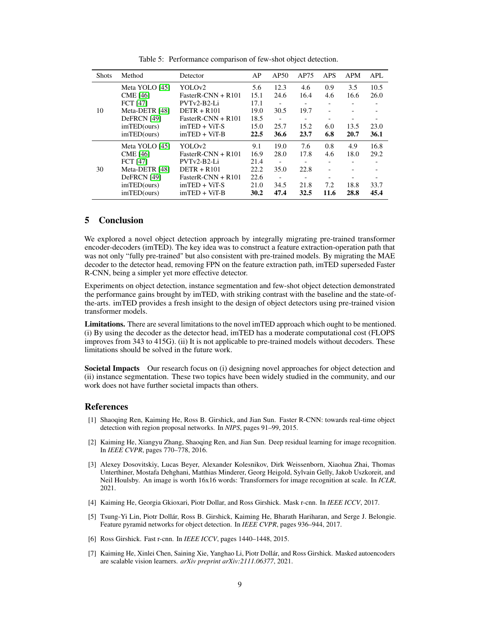<span id="page-8-7"></span>

| <b>Shots</b> | Method          | Detector             | AP   | AP50 | AP75                     | APS                          | <b>APM</b>               | APL  |
|--------------|-----------------|----------------------|------|------|--------------------------|------------------------------|--------------------------|------|
|              | Meta YOLO [45]  | YOLOv2               | 5.6  | 12.3 | 4.6                      | 0.9                          | 3.5                      | 10.5 |
|              | <b>CME</b> [46] | $FasterR-CNN + R101$ | 15.1 | 24.6 | 16.4                     | 4.6                          | 16.6                     | 26.0 |
|              | <b>FCT</b> [47] | PVTv2-B2-Li          | 17.1 |      | $\overline{\phantom{a}}$ | $\qquad \qquad \blacksquare$ |                          |      |
| 10           | Meta-DETR [48]  | $DETR + R101$        | 19.0 | 30.5 | 19.7                     |                              |                          |      |
|              | DeFRCN [49]     | $FasterR-CNN + R101$ | 18.5 |      | $\overline{\phantom{a}}$ |                              |                          |      |
|              | imTED(ours)     | $imTED + ViT-S$      | 15.0 | 25.7 | 15.2                     | 6.0                          | 13.5                     | 23.0 |
|              | imTED(ours)     | $imTED + ViT-B$      | 22.5 | 36.6 | 23.7                     | 6.8                          | 20.7                     | 36.1 |
|              | Meta YOLO [45]  | YOLOv2               | 9.1  | 19.0 | 7.6                      | 0.8                          | 4.9                      | 16.8 |
|              | <b>CME</b> [46] | $FasterR-CNN + R101$ | 16.9 | 28.0 | 17.8                     | 4.6                          | 18.0                     | 29.2 |
|              | <b>FCT</b> [47] | PVTv2-B2-Li          | 21.4 |      | $\overline{\phantom{0}}$ | $\overline{\phantom{0}}$     | $\overline{\phantom{0}}$ |      |
| 30           | Meta-DETR [48]  | $DETR + R101$        | 22.2 | 35.0 | 22.8                     |                              |                          |      |
|              | DeFRCN [49]     | FasterR-CNN $+$ R101 | 22.6 |      | $\overline{\phantom{0}}$ |                              |                          |      |
|              | imTED(ours)     | $imTED + ViT-S$      | 21.0 | 34.5 | 21.8                     | 7.2                          | 18.8                     | 33.7 |
|              | imTED(ours)     | $imTED + ViT-B$      | 30.2 | 47.4 | 32.5                     | 11.6                         | 28.8                     | 45.4 |

Table 5: Performance comparison of few-shot object detection.

## 5 Conclusion

We explored a novel object detection approach by integrally migrating pre-trained transformer encoder-decoders (imTED). The key idea was to construct a feature extraction-operation path that was not only "fully pre-trained" but also consistent with pre-trained models. By migrating the MAE decoder to the detector head, removing FPN on the feature extraction path, imTED superseded Faster R-CNN, being a simpler yet more effective detector.

Experiments on object detection, instance segmentation and few-shot object detection demonstrated the performance gains brought by imTED, with striking contrast with the baseline and the state-ofthe-arts. imTED provides a fresh insight to the design of object detectors using pre-trained vision transformer models.

Limitations. There are several limitations to the novel imTED approach which ought to be mentioned. (i) By using the decoder as the detector head, imTED has a moderate computational cost (FLOPS improves from 343 to 415G). (ii) It is not applicable to pre-trained models without decoders. These limitations should be solved in the future work.

Societal Impacts Our research focus on (i) designing novel approaches for object detection and (ii) instance segmentation. These two topics have been widely studied in the community, and our work does not have further societal impacts than others.

## References

- <span id="page-8-2"></span>[1] Shaoqing Ren, Kaiming He, Ross B. Girshick, and Jian Sun. Faster R-CNN: towards real-time object detection with region proposal networks. In *NIPS*, pages 91–99, 2015.
- <span id="page-8-0"></span>[2] Kaiming He, Xiangyu Zhang, Shaoqing Ren, and Jian Sun. Deep residual learning for image recognition. In *IEEE CVPR*, pages 770–778, 2016.
- <span id="page-8-1"></span>[3] Alexey Dosovitskiy, Lucas Beyer, Alexander Kolesnikov, Dirk Weissenborn, Xiaohua Zhai, Thomas Unterthiner, Mostafa Dehghani, Matthias Minderer, Georg Heigold, Sylvain Gelly, Jakob Uszkoreit, and Neil Houlsby. An image is worth 16x16 words: Transformers for image recognition at scale. In *ICLR*, 2021.
- <span id="page-8-3"></span>[4] Kaiming He, Georgia Gkioxari, Piotr Dollar, and Ross Girshick. Mask r-cnn. In *IEEE ICCV*, 2017.
- <span id="page-8-4"></span>[5] Tsung-Yi Lin, Piotr Dollár, Ross B. Girshick, Kaiming He, Bharath Hariharan, and Serge J. Belongie. Feature pyramid networks for object detection. In *IEEE CVPR*, pages 936–944, 2017.
- <span id="page-8-5"></span>[6] Ross Girshick. Fast r-cnn. In *IEEE ICCV*, pages 1440–1448, 2015.
- <span id="page-8-6"></span>[7] Kaiming He, Xinlei Chen, Saining Xie, Yanghao Li, Piotr Dollár, and Ross Girshick. Masked autoencoders are scalable vision learners. *arXiv preprint arXiv:2111.06377*, 2021.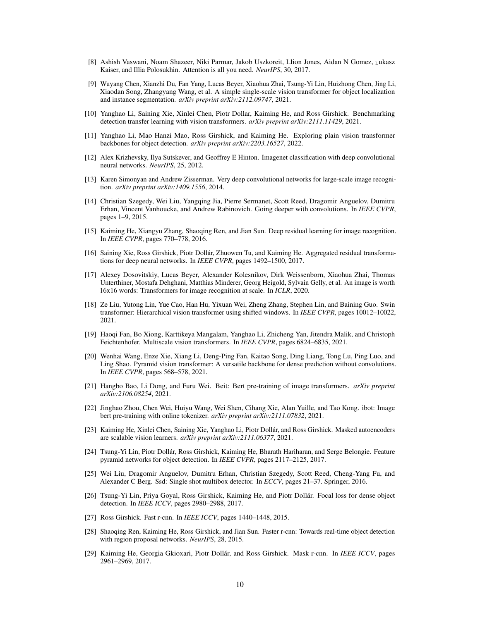- <span id="page-9-0"></span>[8] Ashish Vaswani, Noam Shazeer, Niki Parmar, Jakob Uszkoreit, Llion Jones, Aidan N Gomez, <sup>L</sup>ukasz Kaiser, and Illia Polosukhin. Attention is all you need. *NeurIPS*, 30, 2017.
- <span id="page-9-1"></span>[9] Wuyang Chen, Xianzhi Du, Fan Yang, Lucas Beyer, Xiaohua Zhai, Tsung-Yi Lin, Huizhong Chen, Jing Li, Xiaodan Song, Zhangyang Wang, et al. A simple single-scale vision transformer for object localization and instance segmentation. *arXiv preprint arXiv:2112.09747*, 2021.
- <span id="page-9-2"></span>[10] Yanghao Li, Saining Xie, Xinlei Chen, Piotr Dollar, Kaiming He, and Ross Girshick. Benchmarking detection transfer learning with vision transformers. *arXiv preprint arXiv:2111.11429*, 2021.
- <span id="page-9-3"></span>[11] Yanghao Li, Mao Hanzi Mao, Ross Girshick, and Kaiming He. Exploring plain vision transformer backbones for object detection. *arXiv preprint arXiv:2203.16527*, 2022.
- <span id="page-9-4"></span>[12] Alex Krizhevsky, Ilya Sutskever, and Geoffrey E Hinton. Imagenet classification with deep convolutional neural networks. *NeurIPS*, 25, 2012.
- [13] Karen Simonyan and Andrew Zisserman. Very deep convolutional networks for large-scale image recognition. *arXiv preprint arXiv:1409.1556*, 2014.
- [14] Christian Szegedy, Wei Liu, Yangqing Jia, Pierre Sermanet, Scott Reed, Dragomir Anguelov, Dumitru Erhan, Vincent Vanhoucke, and Andrew Rabinovich. Going deeper with convolutions. In *IEEE CVPR*, pages 1–9, 2015.
- [15] Kaiming He, Xiangyu Zhang, Shaoqing Ren, and Jian Sun. Deep residual learning for image recognition. In *IEEE CVPR*, pages 770–778, 2016.
- <span id="page-9-5"></span>[16] Saining Xie, Ross Girshick, Piotr Dollár, Zhuowen Tu, and Kaiming He. Aggregated residual transformations for deep neural networks. In *IEEE CVPR*, pages 1492–1500, 2017.
- <span id="page-9-6"></span>[17] Alexey Dosovitskiy, Lucas Beyer, Alexander Kolesnikov, Dirk Weissenborn, Xiaohua Zhai, Thomas Unterthiner, Mostafa Dehghani, Matthias Minderer, Georg Heigold, Sylvain Gelly, et al. An image is worth 16x16 words: Transformers for image recognition at scale. In *ICLR*, 2020.
- <span id="page-9-8"></span>[18] Ze Liu, Yutong Lin, Yue Cao, Han Hu, Yixuan Wei, Zheng Zhang, Stephen Lin, and Baining Guo. Swin transformer: Hierarchical vision transformer using shifted windows. In *IEEE CVPR*, pages 10012–10022, 2021.
- <span id="page-9-9"></span>[19] Haoqi Fan, Bo Xiong, Karttikeya Mangalam, Yanghao Li, Zhicheng Yan, Jitendra Malik, and Christoph Feichtenhofer. Multiscale vision transformers. In *IEEE CVPR*, pages 6824–6835, 2021.
- <span id="page-9-7"></span>[20] Wenhai Wang, Enze Xie, Xiang Li, Deng-Ping Fan, Kaitao Song, Ding Liang, Tong Lu, Ping Luo, and Ling Shao. Pyramid vision transformer: A versatile backbone for dense prediction without convolutions. In *IEEE CVPR*, pages 568–578, 2021.
- <span id="page-9-10"></span>[21] Hangbo Bao, Li Dong, and Furu Wei. Beit: Bert pre-training of image transformers. *arXiv preprint arXiv:2106.08254*, 2021.
- [22] Jinghao Zhou, Chen Wei, Huiyu Wang, Wei Shen, Cihang Xie, Alan Yuille, and Tao Kong. ibot: Image bert pre-training with online tokenizer. *arXiv preprint arXiv:2111.07832*, 2021.
- <span id="page-9-11"></span>[23] Kaiming He, Xinlei Chen, Saining Xie, Yanghao Li, Piotr Dollár, and Ross Girshick. Masked autoencoders are scalable vision learners. *arXiv preprint arXiv:2111.06377*, 2021.
- <span id="page-9-12"></span>[24] Tsung-Yi Lin, Piotr Dollár, Ross Girshick, Kaiming He, Bharath Hariharan, and Serge Belongie. Feature pyramid networks for object detection. In *IEEE CVPR*, pages 2117–2125, 2017.
- <span id="page-9-13"></span>[25] Wei Liu, Dragomir Anguelov, Dumitru Erhan, Christian Szegedy, Scott Reed, Cheng-Yang Fu, and Alexander C Berg. Ssd: Single shot multibox detector. In *ECCV*, pages 21–37. Springer, 2016.
- [26] Tsung-Yi Lin, Priya Goyal, Ross Girshick, Kaiming He, and Piotr Dollár. Focal loss for dense object detection. In *IEEE ICCV*, pages 2980–2988, 2017.
- [27] Ross Girshick. Fast r-cnn. In *IEEE ICCV*, pages 1440–1448, 2015.
- [28] Shaoqing Ren, Kaiming He, Ross Girshick, and Jian Sun. Faster r-cnn: Towards real-time object detection with region proposal networks. *NeurIPS*, 28, 2015.
- <span id="page-9-14"></span>[29] Kaiming He, Georgia Gkioxari, Piotr Dollár, and Ross Girshick. Mask r-cnn. In *IEEE ICCV*, pages 2961–2969, 2017.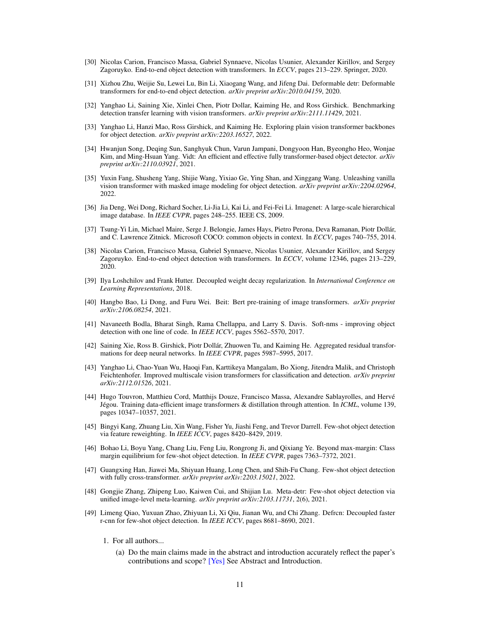- <span id="page-10-0"></span>[30] Nicolas Carion, Francisco Massa, Gabriel Synnaeve, Nicolas Usunier, Alexander Kirillov, and Sergey Zagoruyko. End-to-end object detection with transformers. In *ECCV*, pages 213–229. Springer, 2020.
- <span id="page-10-1"></span>[31] Xizhou Zhu, Weijie Su, Lewei Lu, Bin Li, Xiaogang Wang, and Jifeng Dai. Deformable detr: Deformable transformers for end-to-end object detection. *arXiv preprint arXiv:2010.04159*, 2020.
- <span id="page-10-2"></span>[32] Yanghao Li, Saining Xie, Xinlei Chen, Piotr Dollar, Kaiming He, and Ross Girshick. Benchmarking detection transfer learning with vision transformers. *arXiv preprint arXiv:2111.11429*, 2021.
- <span id="page-10-3"></span>[33] Yanghao Li, Hanzi Mao, Ross Girshick, and Kaiming He. Exploring plain vision transformer backbones for object detection. *arXiv preprint arXiv:2203.16527*, 2022.
- <span id="page-10-4"></span>[34] Hwanjun Song, Deqing Sun, Sanghyuk Chun, Varun Jampani, Dongyoon Han, Byeongho Heo, Wonjae Kim, and Ming-Hsuan Yang. Vidt: An efficient and effective fully transformer-based object detector. *arXiv preprint arXiv:2110.03921*, 2021.
- <span id="page-10-5"></span>[35] Yuxin Fang, Shusheng Yang, Shijie Wang, Yixiao Ge, Ying Shan, and Xinggang Wang. Unleashing vanilla vision transformer with masked image modeling for object detection. *arXiv preprint arXiv:2204.02964*, 2022.
- <span id="page-10-6"></span>[36] Jia Deng, Wei Dong, Richard Socher, Li-Jia Li, Kai Li, and Fei-Fei Li. Imagenet: A large-scale hierarchical image database. In *IEEE CVPR*, pages 248–255. IEEE CS, 2009.
- <span id="page-10-10"></span>[37] Tsung-Yi Lin, Michael Maire, Serge J. Belongie, James Hays, Pietro Perona, Deva Ramanan, Piotr Dollár, and C. Lawrence Zitnick. Microsoft COCO: common objects in context. In *ECCV*, pages 740–755, 2014.
- <span id="page-10-11"></span>[38] Nicolas Carion, Francisco Massa, Gabriel Synnaeve, Nicolas Usunier, Alexander Kirillov, and Sergey Zagoruyko. End-to-end object detection with transformers. In *ECCV*, volume 12346, pages 213–229, 2020.
- <span id="page-10-12"></span>[39] Ilya Loshchilov and Frank Hutter. Decoupled weight decay regularization. In *International Conference on Learning Representations*, 2018.
- <span id="page-10-13"></span>[40] Hangbo Bao, Li Dong, and Furu Wei. Beit: Bert pre-training of image transformers. *arXiv preprint arXiv:2106.08254*, 2021.
- <span id="page-10-7"></span>[41] Navaneeth Bodla, Bharat Singh, Rama Chellappa, and Larry S. Davis. Soft-nms - improving object detection with one line of code. In *IEEE ICCV*, pages 5562–5570, 2017.
- <span id="page-10-8"></span>[42] Saining Xie, Ross B. Girshick, Piotr Dollár, Zhuowen Tu, and Kaiming He. Aggregated residual transformations for deep neural networks. In *IEEE CVPR*, pages 5987–5995, 2017.
- <span id="page-10-9"></span>[43] Yanghao Li, Chao-Yuan Wu, Haoqi Fan, Karttikeya Mangalam, Bo Xiong, Jitendra Malik, and Christoph Feichtenhofer. Improved multiscale vision transformers for classification and detection. *arXiv preprint arXiv:2112.01526*, 2021.
- <span id="page-10-14"></span>[44] Hugo Touvron, Matthieu Cord, Matthijs Douze, Francisco Massa, Alexandre Sablayrolles, and Hervé Jégou. Training data-efficient image transformers & distillation through attention. In *ICML*, volume 139, pages 10347–10357, 2021.
- <span id="page-10-15"></span>[45] Bingyi Kang, Zhuang Liu, Xin Wang, Fisher Yu, Jiashi Feng, and Trevor Darrell. Few-shot object detection via feature reweighting. In *IEEE ICCV*, pages 8420–8429, 2019.
- <span id="page-10-16"></span>[46] Bohao Li, Boyu Yang, Chang Liu, Feng Liu, Rongrong Ji, and Qixiang Ye. Beyond max-margin: Class margin equilibrium for few-shot object detection. In *IEEE CVPR*, pages 7363–7372, 2021.
- <span id="page-10-17"></span>[47] Guangxing Han, Jiawei Ma, Shiyuan Huang, Long Chen, and Shih-Fu Chang. Few-shot object detection with fully cross-transformer. *arXiv preprint arXiv:2203.15021*, 2022.
- <span id="page-10-18"></span>[48] Gongjie Zhang, Zhipeng Luo, Kaiwen Cui, and Shijian Lu. Meta-detr: Few-shot object detection via unified image-level meta-learning. *arXiv preprint arXiv:2103.11731*, 2(6), 2021.
- <span id="page-10-19"></span>[49] Limeng Qiao, Yuxuan Zhao, Zhiyuan Li, Xi Qiu, Jianan Wu, and Chi Zhang. Defrcn: Decoupled faster r-cnn for few-shot object detection. In *IEEE ICCV*, pages 8681–8690, 2021.
	- 1. For all authors...
		- (a) Do the main claims made in the abstract and introduction accurately reflect the paper's contributions and scope? [Yes] See Abstract and Introduction.